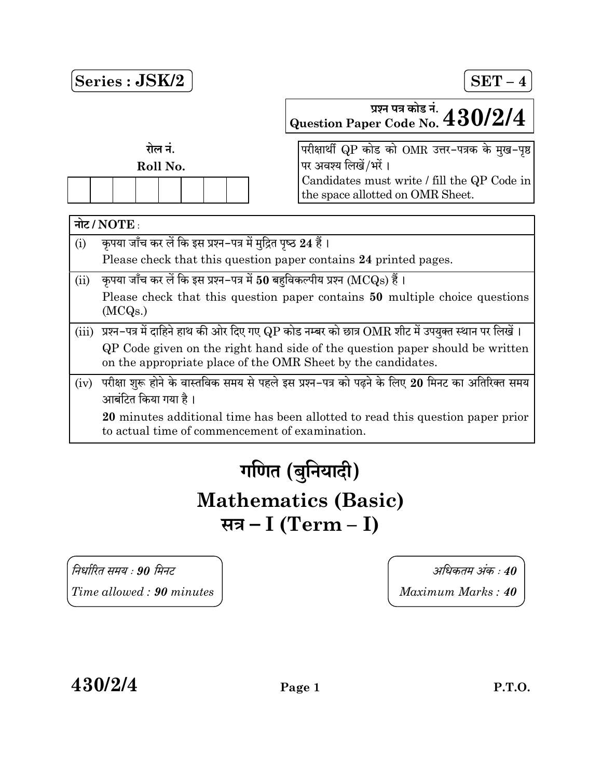

# गणित (बुनियादी) Mathematics (Basic) सत्र – I (Term – I)

 90 40  $Time allowed: 90 minutes$   $Maximum Marks: 40$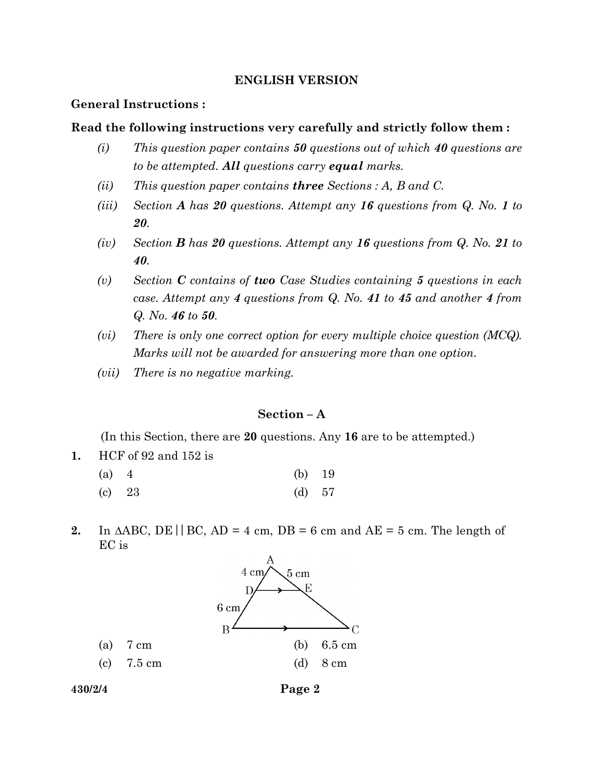# ENGLISH VERSION

# General Instructions :

## Read the following instructions very carefully and strictly follow them :

- (i) This question paper contains  $50$  questions out of which  $40$  questions are to be attempted. All questions carry equal marks.
- (ii) This question paper contains **three** Sections : A, B and C.
- (iii) Section A has 20 questions. Attempt any 16 questions from Q. No. 1 to 20.
- (iv) Section **B** has 20 questions. Attempt any 16 questions from  $Q$ . No. 21 to 40.
- (v) Section  $C$  contains of two Case Studies containing 5 questions in each case. Attempt any 4 questions from Q. No. 41 to 45 and another 4 from Q. No. 46 to 50.
- (vi) There is only one correct option for every multiple choice question (MCQ). Marks will not be awarded for answering more than one option.
- (vii) There is no negative marking.

# Section – A

(In this Section, there are 20 questions. Any 16 are to be attempted.)

1. HCF of 92 and 152 is

| (a) 4    | (b) $19$ |  |
|----------|----------|--|
| $(c)$ 23 | (d) 57   |  |

2. In  $\triangle ABC$ , DE | BC, AD = 4 cm, DB = 6 cm and AE = 5 cm. The length of EC is



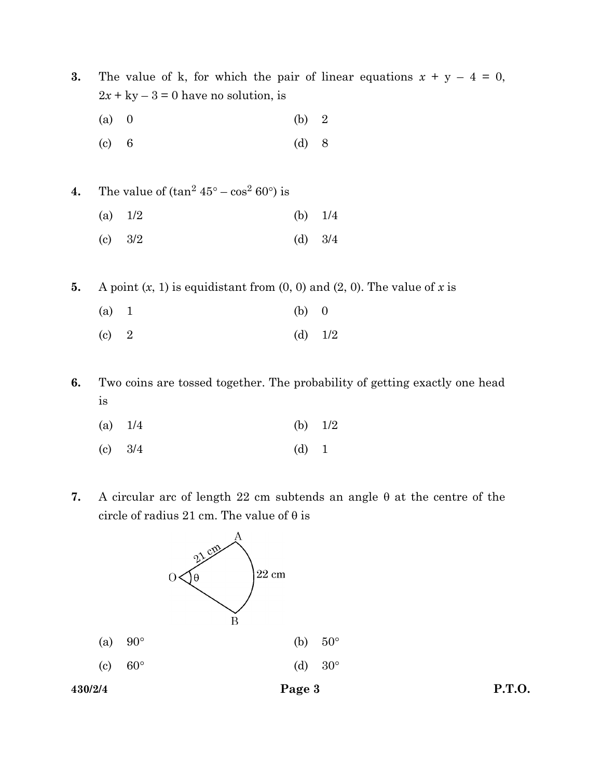3. The value of k, for which the pair of linear equations  $x + y - 4 = 0$ ,  $2x + ky - 3 = 0$  have no solution, is

- (a) 0 (b) 2
- (c) 6 (d) 8
- 4. The value of  $(\tan^2 45^\circ \cos^2 60^\circ)$  is
	- (a)  $1/2$  (b)  $1/4$
	- (c) 3/2 (d) 3/4
- 5. A point  $(x, 1)$  is equidistant from  $(0, 0)$  and  $(2, 0)$ . The value of x is
	- (a) 1 (b) 0
	- (c) 2 (d)  $1/2$
- 6. Two coins are tossed together. The probability of getting exactly one head is
	- (a)  $1/4$  (b)  $1/2$
	- (c) 3/4 (d) 1
- 7. A circular arc of length 22 cm subtends an angle  $\theta$  at the centre of the circle of radius 21 cm. The value of  $\theta$  is

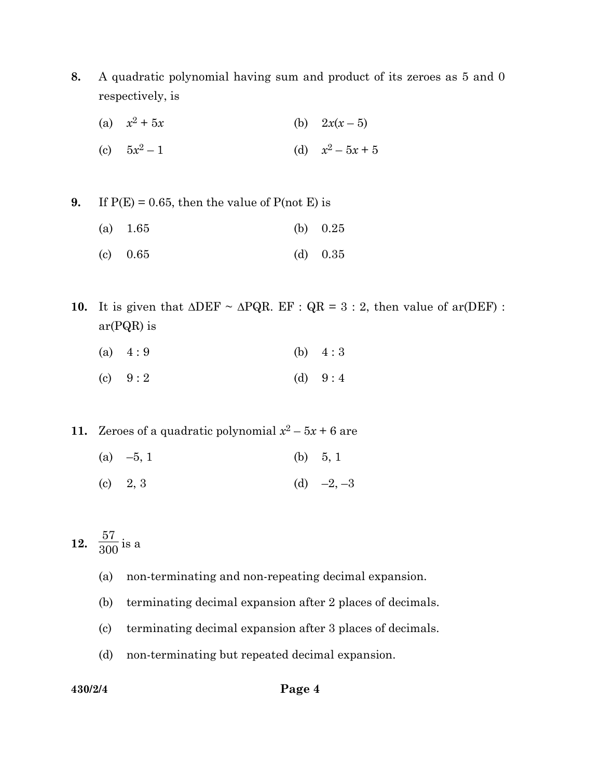- 8. A quadratic polynomial having sum and product of its zeroes as 5 and 0 respectively, is
	- (a)  $x^2$ (b)  $2x(x - 5)$
	- (c)  $5x^2$  $-1$  (d)  $x^2 - 5x + 5$

9. If  $P(E) = 0.65$ , then the value of  $P(\text{not } E)$  is

- (a) 1.65 (b) 0.25
- (c) 0.65 (d) 0.35
- 10. It is given that  $\triangle DEF \sim \triangle PQR$ . EF :  $QR = 3 : 2$ , then value of ar(DEF) : ar(PQR) is
	- (a)  $4:9$  (b)  $4:3$
	- (c)  $9:2$  (d)  $9:4$
- 11. Zeroes of a quadratic polynomial  $x^2 5x + 6$  are
	- (a)  $-5, 1$  (b)  $5, 1$
	- (c) 2, 3 (d)  $-2, -3$

12. 57  $\frac{5}{300}$  is a

- (a) non-terminating and non-repeating decimal expansion.
- (b) terminating decimal expansion after 2 places of decimals.
- (c) terminating decimal expansion after 3 places of decimals.
- (d) non-terminating but repeated decimal expansion.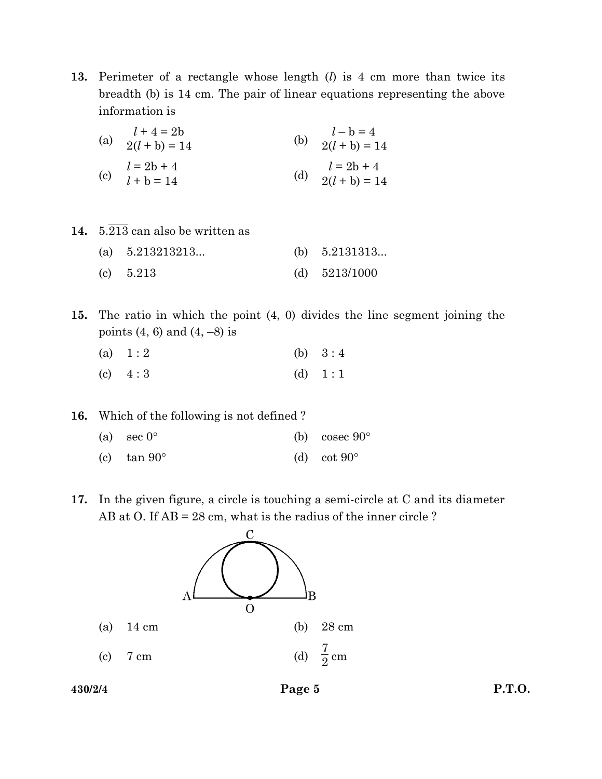13. Perimeter of a rectangle whose length  $(l)$  is 4 cm more than twice its breadth (b) is 14 cm. The pair of linear equations representing the above information is

| $l + 4 = 2b$<br>(a) $\frac{1}{2(l + b)} = 14$ | (b) $l-b=4$<br>2(l + b) = 14        |
|-----------------------------------------------|-------------------------------------|
| (c) $l = 2b + 4$<br>$l + b = 14$              | (d) $l = 2b + 4$<br>$2(l + b) = 14$ |

- 14.  $5.\overline{213}$  can also be written as
	- (a)  $5.213213213...$  (b)  $5.2131313...$ (c) 5.213 (d) 5213/1000
- 15. The ratio in which the point (4, 0) divides the line segment joining the points  $(4, 6)$  and  $(4, -8)$  is

| (a) $1:2$ | (b) $3:4$ |
|-----------|-----------|
| (c) $4:3$ | (d) $1:1$ |

16. Which of the following is not defined ?

| (a) sec $0^{\circ}$ | (b) cosec $90^{\circ}$ |
|---------------------|------------------------|
| (c) $\tan 90^\circ$ | (d) cot $90^\circ$     |

17. In the given figure, a circle is touching a semi-circle at C and its diameter AB at O. If AB = 28 cm, what is the radius of the inner circle ?

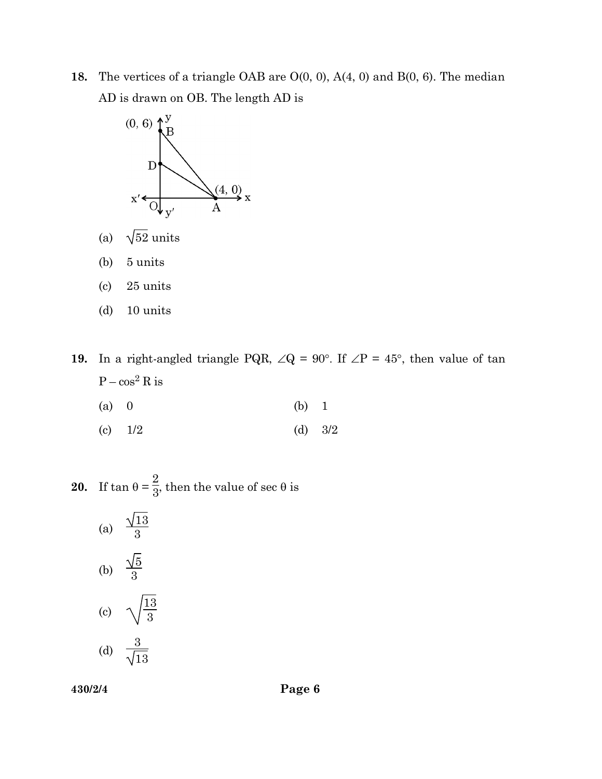18. The vertices of a triangle OAB are  $O(0, 0)$ ,  $A(4, 0)$  and  $B(0, 6)$ . The median AD is drawn on OB. The length AD is



- (a)  $\sqrt{52}$  units
- (b) 5 units
- (c) 25 units
- (d) 10 units
- 19. In a right-angled triangle PQR,  $\angle Q = 90^\circ$ . If  $\angle P = 45^\circ$ , then value of tan  $P - cos^2 R$  is
	- (a) 0 (b) 1
	- (c)  $1/2$  (d)  $3/2$

**20.** If  $\tan \theta = \frac{3}{2}$ 2  $\frac{2}{3}$ , then the value of sec  $\theta$  is

(a)  $\frac{\sqrt{13}}{3}$ (b)  $\frac{\sqrt{5}}{3}$ (c)  $\sqrt{\frac{13}{3}}$ (d)  $\frac{3}{\sqrt{3}}$ 13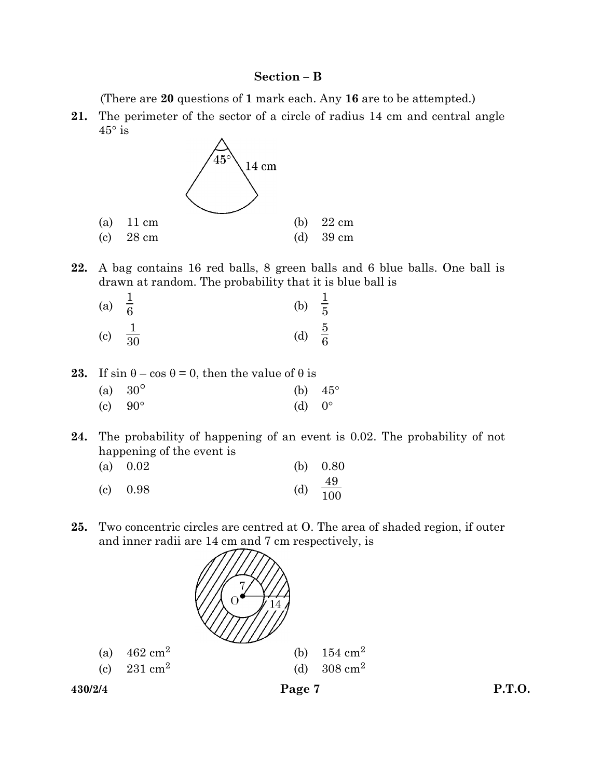# Section – B

(There are 20 questions of 1 mark each. Any 16 are to be attempted.)

21. The perimeter of the sector of a circle of radius 14 cm and central angle  $45^{\circ}$  is



22. A bag contains 16 red balls, 8 green balls and 6 blue balls. One ball is drawn at random. The probability that it is blue ball is

| (a) $\frac{1}{6}$ |                    | (b) $\frac{1}{5}$ |  |
|-------------------|--------------------|-------------------|--|
|                   | (c) $\frac{1}{30}$ | (d) $\frac{5}{6}$ |  |

23. If  $\sin \theta - \cos \theta = 0$ , then the value of  $\theta$  is

| (a) $30^{\circ}$ | (b) $45^{\circ}$ |  |
|------------------|------------------|--|
| (c) $90^{\circ}$ | (d) $0^{\circ}$  |  |

24. The probability of happening of an event is 0.02. The probability of not happening of the event is

| (a) $0.02$ | (b) $0.80$           |
|------------|----------------------|
| $(c)$ 0.98 | (d) $\frac{49}{100}$ |

25. Two concentric circles are centred at O. The area of shaded region, if outer and inner radii are 14 cm and 7 cm respectively, is

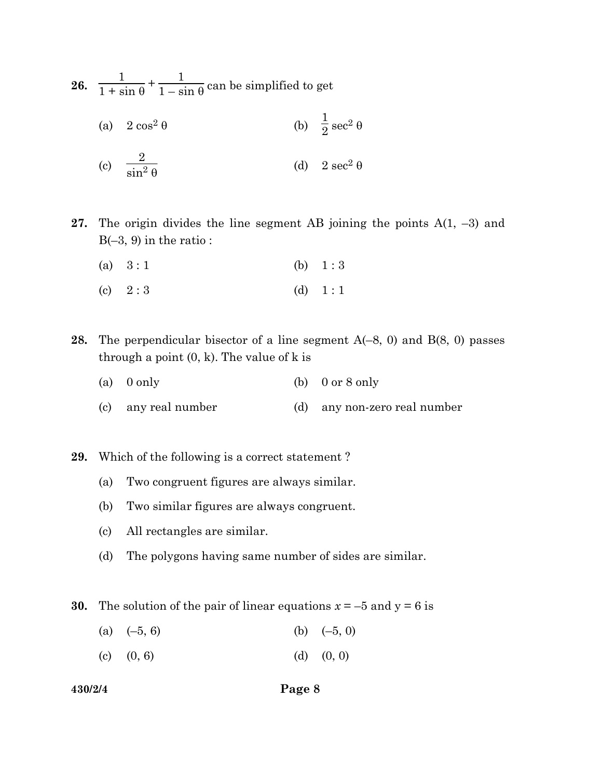26. 1  $1 + \sin \theta$  $+\frac{1}{1}$  $\frac{1}{1-\sin\theta}$  can be simplified to get

(a)  $2 \cos^2 \theta$  $\frac{1}{2}$  sec<sup>2</sup>  $\theta$ 

(c) 
$$
\frac{2}{\sin^2 \theta}
$$
 (d)  $2 \sec^2 \theta$ 

- 27. The origin divides the line segment AB joining the points  $A(1, -3)$  and  $B(-3, 9)$  in the ratio :
	- (a)  $3:1$  (b)  $1:3$
	- (c)  $2:3$  (d)  $1:1$
- **28.** The perpendicular bisector of a line segment  $A(-8, 0)$  and  $B(8, 0)$  passes through a point  $(0, k)$ . The value of k is
	- (a) 0 only (b) 0 or 8 only
	- (c) any real number (d) any non-zero real number

29. Which of the following is a correct statement ?

- (a) Two congruent figures are always similar.
- (b) Two similar figures are always congruent.
- (c) All rectangles are similar.
- (d) The polygons having same number of sides are similar.

**30.** The solution of the pair of linear equations  $x = -5$  and  $y = 6$  is

- (a)  $(-5, 6)$  (b)  $(-5, 0)$
- (c)  $(0, 6)$  (d)  $(0, 0)$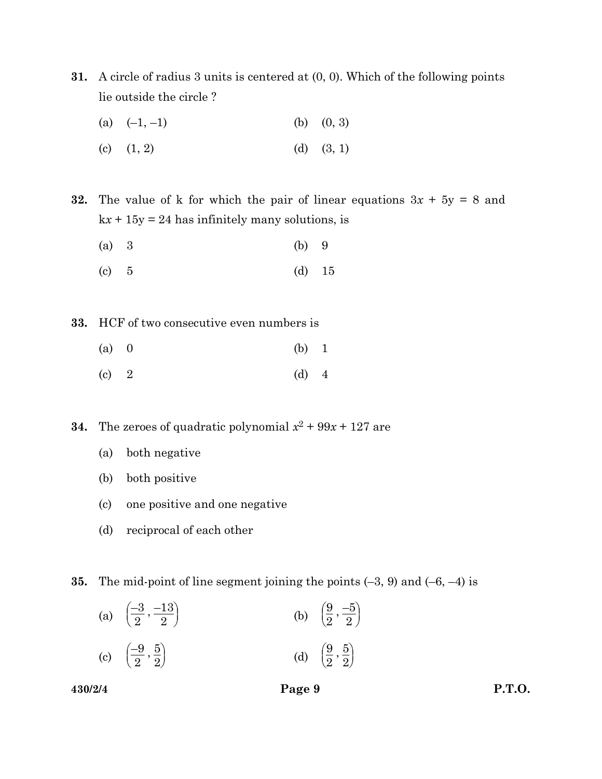- 31. A circle of radius 3 units is centered at (0, 0). Which of the following points lie outside the circle ?
	- (a)  $(-1, -1)$  (b)  $(0, 3)$
	- (c)  $(1, 2)$  (d)  $(3, 1)$

32. The value of k for which the pair of linear equations  $3x + 5y = 8$  and  $kx + 15y = 24$  has infinitely many solutions, is

- (a) 3 (b) 9
- (c)  $5$  (d)  $15$

33. HCF of two consecutive even numbers is

- (a) 0 (b) 1
- (c)  $2$  (d)  $4$

**34.** The zeroes of quadratic polynomial  $x^2 + 99x + 127$  are

- (a) both negative
- (b) both positive
- (c) one positive and one negative
- (d) reciprocal of each other

**35.** The mid-point of line segment joining the points  $(-3, 9)$  and  $(-6, -4)$  is

| (a) $\left(\frac{-3}{2}, \frac{-13}{2}\right)$ | (b) $\left(\frac{9}{2}, \frac{-5}{2}\right)$ |
|------------------------------------------------|----------------------------------------------|
| $(-9\ 5)$                                      | $(9\;5)$                                     |

(c) 
$$
\left(\frac{-9}{2}, \frac{5}{2}\right)
$$
 (d)  $\left(\frac{9}{2}, \frac{5}{2}\right)$ 

 $430/2/4$  Page 9 P.T.O.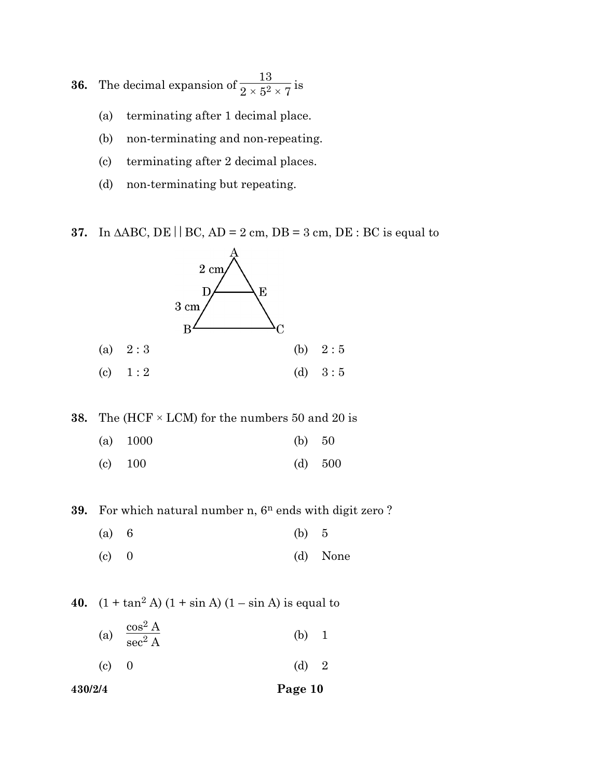**36.** The decimal expansion of  $\frac{13}{2 \times 5^2 \times 7}$  is

- (a) terminating after 1 decimal place.
- (b) non-terminating and non-repeating.
- (c) terminating after 2 decimal places.
- (d) non-terminating but repeating.

37. In  $\triangle ABC$ , DE | BC, AD = 2 cm, DB = 3 cm, DE : BC is equal to



**38.** The (HCF  $\times$  LCM) for the numbers 50 and 20 is

- (a) 1000 (b) 50
- (c) 100 (d) 500

39. For which natural number n,  $6^n$  ends with digit zero ?

- (a) 6 (b) 5
- (c) 0 (d) None

40.  $(1 + \tan^2 A) (1 + \sin A) (1 - \sin A)$  is equal to

- (a)  $\frac{\cos^2 A}{\cos^2 A}$  $\mathrm{sec}^2$  $(b) 1$
- (c) 0 (d) 2
- 430/2/4 Page 10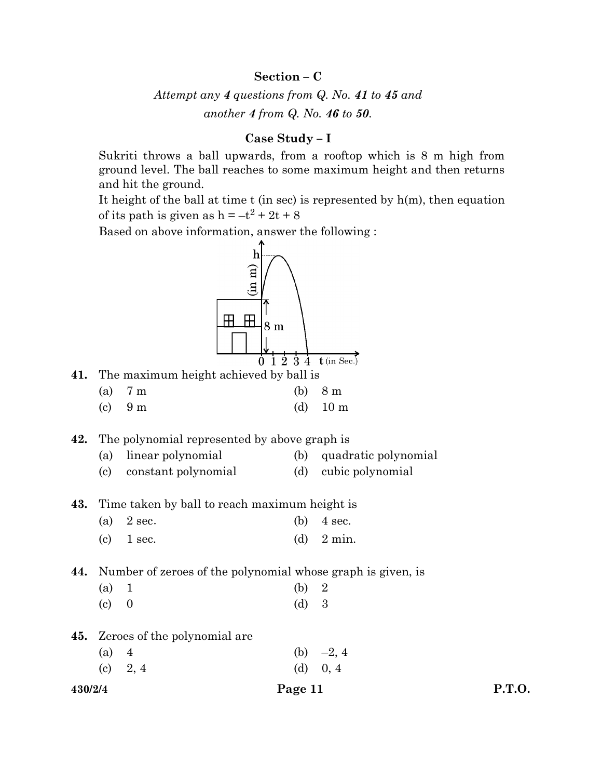# Section – C

Attempt any 4 questions from Q. No. 41 to 45 and another 4 from Q. No. 46 to 50.

# Case Study – I

 Sukriti throws a ball upwards, from a rooftop which is 8 m high from ground level. The ball reaches to some maximum height and then returns and hit the ground.

It height of the ball at time  $t$  (in sec) is represented by  $h(m)$ , then equation of its path is given as  $h = -t^2 + 2t + 8$ 

Based on above information, answer the following :

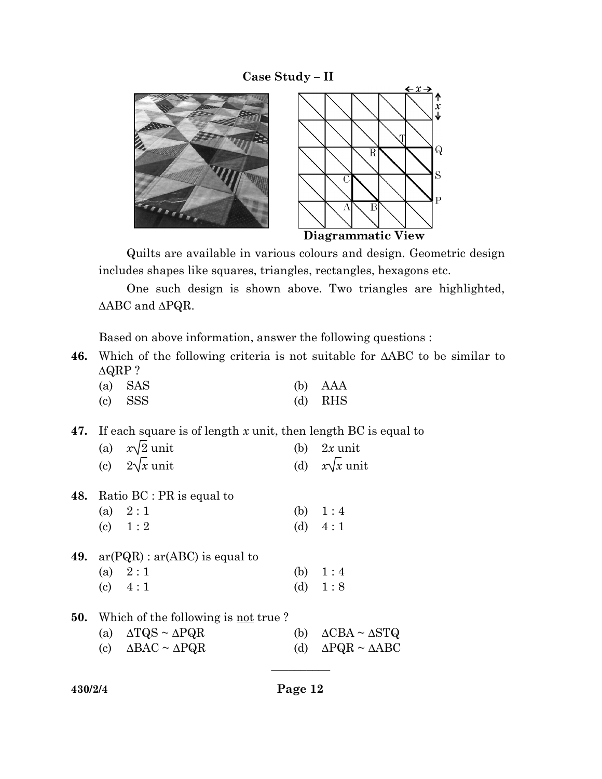# Case Study – II



 Quilts are available in various colours and design. Geometric design includes shapes like squares, triangles, rectangles, hexagons etc.

 One such design is shown above. Two triangles are highlighted,  $\triangle ABC$  and  $\triangle PQR$ .

Based on above information, answer the following questions :

46. Which of the following criteria is not suitable for  $\triangle ABC$  to be similar to  $\Delta$ QRP ?

| (a) SAS | $(b)$ AAA |
|---------|-----------|
| (c) SSS | $(d)$ RHS |

# 47. If each square is of length x unit, then length BC is equal to

| (a) $x\sqrt{2}$ unit | (b) $2x$ unit        |
|----------------------|----------------------|
| (c) $2\sqrt{x}$ unit | (d) $x\sqrt{x}$ unit |

- 48. Ratio BC : PR is equal to
	- (a)  $2:1$  (b)  $1:4$ (c)  $1:2$  (d)  $4:1$
- 49.  $ar(PQR)$ :  $ar(ABC)$  is equal to (a)  $2:1$  (b)  $1:4$ (c)  $4:1$  (d)  $1:8$
- **50.** Which of the following is not true?
	- (a)  $\triangle TQS \sim \triangle PQR$  (b)  $\triangle CBA \sim \triangle STQ$ (c)  $\triangle BAC \sim \triangle PQR$  (d)  $\triangle PQR \sim \triangle ABC$

| 430/2/4 |  |
|---------|--|
|---------|--|

 $\overline{\phantom{a}}$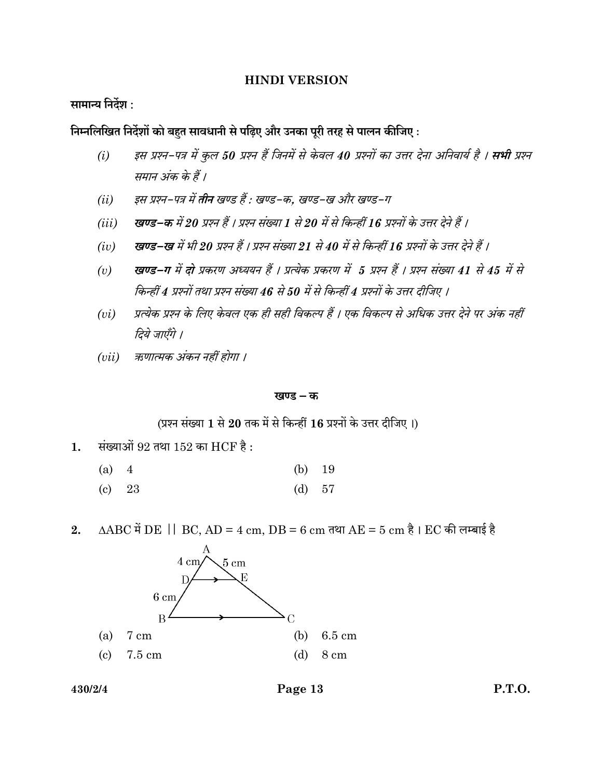# HINDI VERSION

सामान्य निर्देश :

निम्नलिखित निर्देशों को बहुत सावधानी से पढिए और उनका पूरी तरह से पालन कीजिए :

- (i) इस प्रश्न-पत्र में कुल 50 प्रश्न हैं जिनमें से केवल 40 प्रश्नों का उत्तर देना अनिवार्य है । **सभी** प्रश्न समान अंक के हैं।
- (ii) इस प्रश्न-पत्र में **तीन** खण्ड हैं : खण्ड-क, खण्ड-ख और खण्ड-ग
- (iii) खण्ड–क में 20 प्रश्न हैं । प्रश्न संख्या 1 से 20 में से किन्हीं 16 प्रश्नों के उत्तर देने हैं ।
- (iv) खण्ड–ख में भी 20 प्रश्न हैं । प्रश्न संख्या 21 से 40 में से किन्हीं 16 प्रश्नों के उत्तर देने हैं ।
- (v) खण्ड–ग में दो प्रकरण अध्ययन हैं । प्रत्येक प्रकरण में 5 प्रश्न हैं । प्रश्न संख्या 41 से 45 में से किन्हीं 4 प्रश्नों तथा प्रश्न संख्या 46 से 50 में से किन्हीं 4 प्रश्नों के उत्तर दीजिए ।
- (vi) प्रत्येक प्रश्न के लिए केवल एक ही सही विकल्प हैं । एक विकल्प से अधिक उत्तर देने पर अंक नहीं दिये जाएँगे ।
- ( $vii$ ) क्रणात्मक अंकन नहीं होगा ।

# खण्ड – क

(प्रश्न संख्या 1 से 20 तक में से किन्हीं 16 प्रश्नों के उत्तर दीजिए।)

1. संख्याओं  $92$  तथा  $152$  का  $HCF$  है:

| (a) 4 |          | (b) $19$ |  |
|-------|----------|----------|--|
|       | $(c)$ 23 | (d) $57$ |  |

2.  $\triangle ABC$  में  $DE$  |  $BC$ ,  $AD = 4$  cm,  $DB = 6$  cm तथा  $AE = 5$  cm है।  $EC$  की लम्बाई है



430/2/4 Page 13 P.T.O.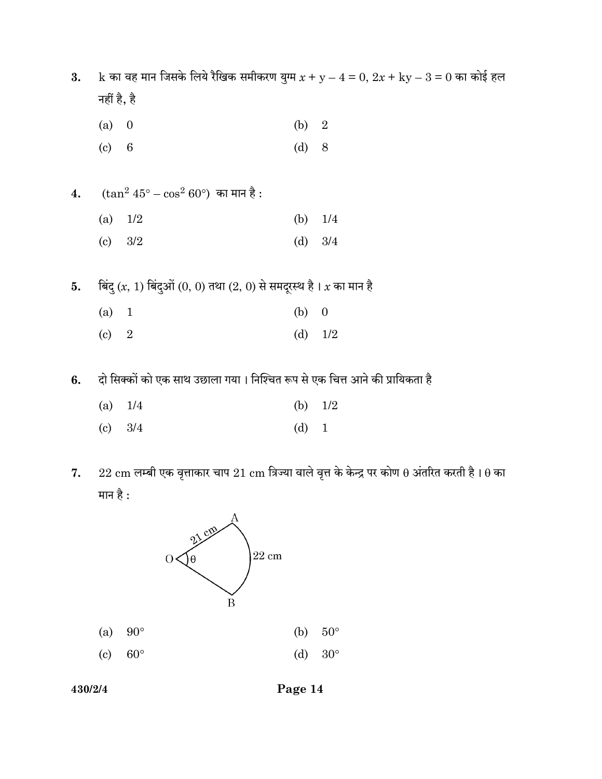3. k का वह मान जिसके लिये रैखिक समीकरण युग्म  $x + y - 4 = 0$ ,  $2x + ky - 3 = 0$  का कोई हल नहीं है, है

- (a) 0 (b) 2
- (c) 6 (d) 8
- $4.$  (tan $2\ 45^{\circ} \cos^2 60^{\circ}$ ) का मान है : (a)  $1/2$  (b)  $1/4$ 
	- (c) 3/2 (d) 3/4
- 5. बिंदु  $(x, 1)$  बिंदुओं  $(0, 0)$  तथा  $(2, 0)$  से समदूरस्थ है।  $x$  का मान है
	- (a) 1 (b) 0
	- (c) 2 (d) 1/2
- 6. दो सिक्कों को एक साथ उछाला गया। निश्चित रूप से एक चित्त आने की प्रायिकता है
	- (a) 1/4 (b) 1/2
	- (c)  $3/4$  (d) 1
- 7.  $22 \text{ cm}$  लम्बी एक वृत्ताकार चाप  $21 \text{ cm}$  त्रिज्या वाले वृत्त के केन्द्र पर कोण  $\theta$  अंतरित करती है।  $\theta$  का मान है :

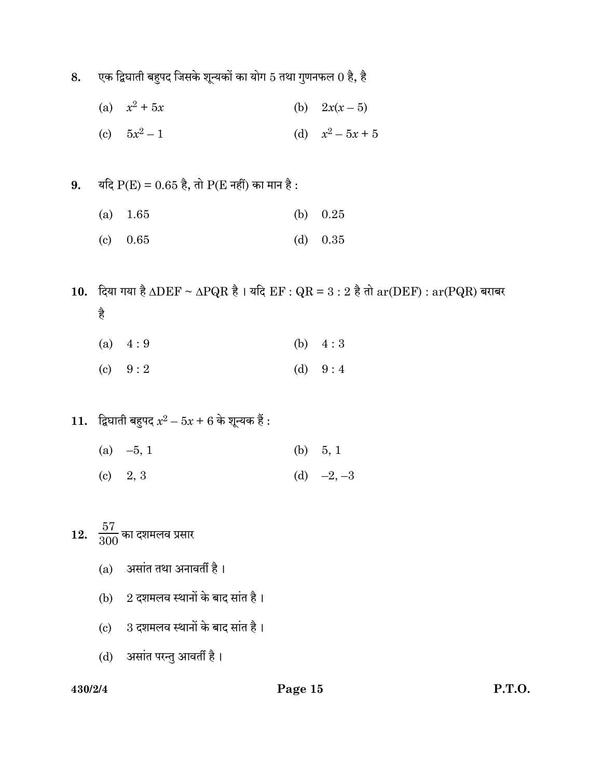- 8. एक द्विघाती बहुपद जिसके शून्यकों का योग 5 तथा गुणनफल  $0$  है, है
	- (a)  $x^2$ (b)  $2x(x - 5)$
	- (c)  $5x^2$  $-1$  (d)  $x^2 - 5x + 5$
- 9. यदि  $P(E) = 0.65$  है, तो  $P(E \nightharpoondown E \nightharpoondown E)$  का मान है:
	- (a) 1.65 (b) 0.25
	- (c) 0.65 (d) 0.35
- 10. दिया गया है  $\triangle DEF \sim \triangle PQR$  है। यदि  $EF : QR = 3 : 2$  है तो  $ar(DEF) : ar(PQR)$  बराबर है
	- (a)  $4:9$  (b)  $4:3$
	- (c)  $9:2$  (d)  $9:4$
- $\bf{11.} \quad$ द्विघाती बहुपद  $x^2-5x+6$  के शून्यक हैं :
	- (a)  $-5, 1$  (b)  $5, 1$
	- (c)  $2, 3$  (d)  $-2, -3$

12.  $\frac{57}{300}$ का दशमलव प्रसार

- (a) असांत तथा अनावर्ती है।
- (b)  $2$  दशमलव स्थानों के बाद सांत है।
- $(c)$  3 दशमलव स्थानों के बाद सांत है।
- (d) असांत परन्तु आवर्ती है।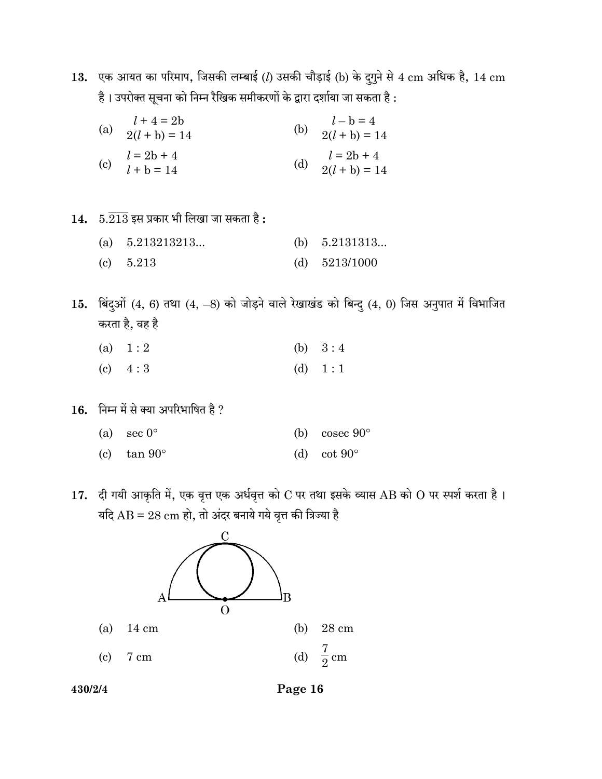13. एक आयत का परिमाप, जिसकी लम्बाई (l) उसकी चौड़ाई (b) के दुगुने से 4 cm अधिक है, 14 cm है। उपरोक्त सूचना को निम्न रैखिक समीकरणों के द्वारा दर्शाया जा सकता है :

| $l + 4 = 2b$<br>(a) $2(l + b) = 14$              | $l - b = 4$<br>(b) $2(l + b) = 14$  |
|--------------------------------------------------|-------------------------------------|
| $l = 2b + 4$<br>(c) $l = 2b + 4$<br>$l + b = 14$ | (d) $l = 2b + 4$<br>$2(l + b) = 14$ |

 $14.$   $5.\overline{213}$  इस प्रकार भी लिखा जा सकता है:

| (a) $5.213213213$ | (b) $5.2131313$ |
|-------------------|-----------------|
| (c) $5.213$       | (d) $5213/1000$ |

 $15.$  बिंदुओं  $(4, 6)$  तथा  $(4, -8)$  को जोड़ने वाले रेखाखंड को बिन्दु  $(4, 0)$  जिस अनुपात में विभाजित करता है, वह है

| (a) $1:2$ |  |  | (b) $3:4$ |
|-----------|--|--|-----------|
|           |  |  |           |

- (c)  $4:3$  (d)  $1:1$
- $16.$  निम्न में से क्या अपरिभाषित है ?
	- (a) sec  $0^{\circ}$  (b) cosec  $90^{\circ}$ (c)  $\tan 90^\circ$  (d)  $\cot 90^\circ$
- 17. दी गयी आकृति में, एक वृत्त एक अर्धवृत्त को  $\rm C$  पर तथा इसके व्यास AB को  $\rm O$  पर स्पर्श करता है। यदि  $AB = 28$  cm हो, तो अंदर बनाये गये वृत्त की त्रिज्या है



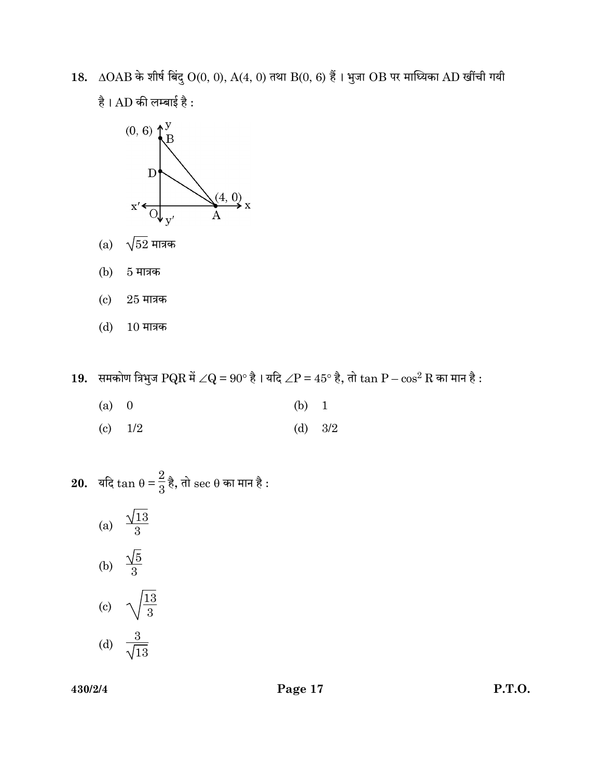$18. \Delta OAB$  के शीर्ष बिंदु  $O(0, 0)$ ,  $A(4, 0)$  तथा  $B(0, 6)$  हैं। भुजा  $OB$  पर माध्यिका  $AD$  खींची गयी है।  $AD$  की लम्बाई है:



- $(a)$   $\sqrt{52}$  मात्रक
- (b) 5 मात्रक
- $(c)$  25 मात्रक
- (d) 10 मात्रक

19. समकोण त्रिभुज  $PQR \nrightarrow \angle Q = 90^{\circ} \nrightarrow \mathbb{R}$ । यदि  $\angle P = 45^{\circ} \nrightarrow \mathbb{R}$ , तो  $\tan P - \cos^2 R$  का मान है :

- (a) 0 (b) 1
- (c)  $1/2$  (d)  $3/2$

**20.** यदि 
$$
\tan \theta = \frac{2}{3} \frac{1}{6}
$$
, तो sec  $\theta$  का मान है :

(a)  $\frac{\sqrt{13}}{3}$ (b)  $\frac{\sqrt{5}}{3}$ (c)  $\sqrt{\frac{13}{3}}$ (d)  $\frac{3}{\sqrt{3}}$ 13

430/2/4 Page 17 P.T.O.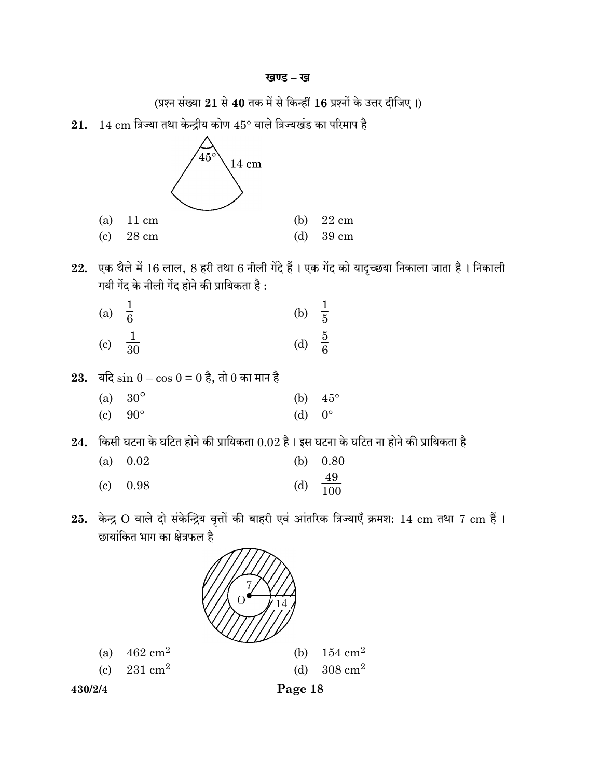(प्रश्न संख्या 21 से 40 तक में से किन्हीं 16 प्रश्नों के उत्तर दीजिए।)

 $21.$   $14 \text{ cm}$  त्रिज्या तथा केन्द्रीय कोण  $45^{\circ}$  वाले त्रिज्यखंड का परिमाप है



- $22.$  एक थैले में  $16$  लाल,  $8$  हरी तथा  $6$  नीली गेंदे हैं। एक गेंद को यादृच्छया निकाला जाता है। निकाली गयी गेंद के नीली गेंद होने की प्रायिकता है :
	- (a)  $\frac{1}{6}$ (b)  $\frac{1}{5}$ (c)  $\frac{1}{30}$  $\frac{1}{30}$  (d)  $\frac{5}{6}$
- 23. यदि  $\sin \theta \cos \theta = 0$  है, तो  $\theta$  का मान है
	- (a)  $30^{\circ}$  (b)  $45^{\circ}$ (c)  $90^{\circ}$  (d)  $0^{\circ}$
- $24.$  किसी घटना के घटित होने की प्रायिकता  $0.02$  है। इस घटना के घटित ना होने की प्रायिकता है
	- (a) 0.02 (b) 0.80 (c)  $0.98$  (d)  $\frac{49}{100}$
- 25. केन्द्र  $O$  वाले दो संकेन्द्रिय वृत्तों की बाहरी एवं आंतरिक त्रिज्याएँ क्रमश:  $14 \text{ cm}$  तथा  $7 \text{ cm}$  हैं । छायांकित भाग का क्षेत्रफल है





430/2/4 Page 18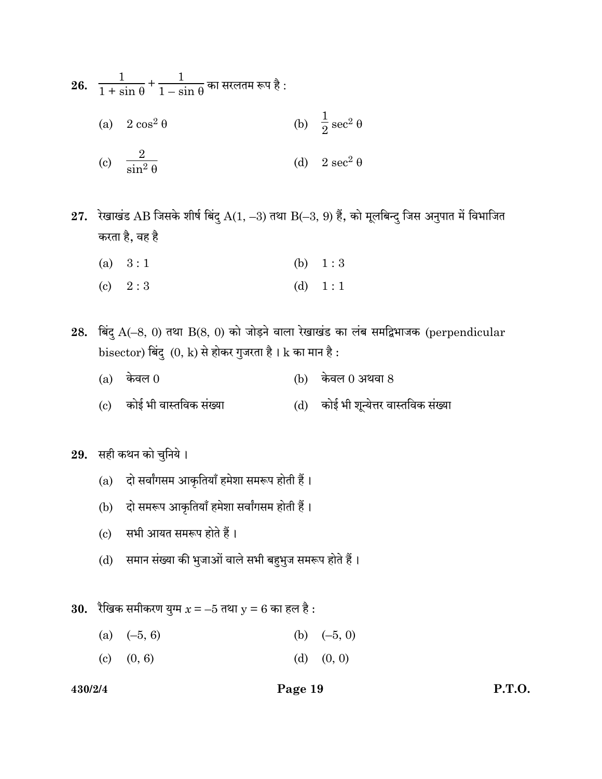26. 
$$
\frac{1}{1 + \sin \theta} + \frac{1}{1 - \sin \theta}
$$
 and  $\tan \theta$  is   
\n(a)  $2 \cos^2 \theta$  \n(b)  $\frac{1}{2} \sec^2 \theta$   
\n(c)  $\frac{2}{\sin^2 \theta}$  \n(d)  $2 \sec^2 \theta$ 

 $27.$  रेखाखंड AB जिसके शीर्ष बिंदु  $A(1, -3)$  तथा  $B(-3, 9)$  हैं, को मूलबिन्दु जिस अनुपात में विभाजित करता है, वह है

- (a)  $3:1$  (b)  $1:3$
- (c)  $2:3$  (d)  $1:1$

 $28.$  बिंदु  $A(-8, 0)$  तथा  $B(8, 0)$  को जोड़ने वाला रेखाखंड का लंब समद्विभाजक (perpendicular  $bisector$ ) बिंदु  $(0, k)$  से होकर गुजरता है।  ${\bf k}$  का मान है:

- (a) केवल  $0$  (b) केवल  $0$  अथवा  $8$
- (c) कोई भी वास्तविक संख्या (d) कोई भी शून्येत्तर वास्तविक संख्या

29. सही कथन को चुनिये।

- (a) दो सर्वांगसम आकृतियाँ हमेशा समरूप होती हैं।
- (b) दो समरूप आकृतियाँ हमेशा सर्वांगसम होती हैं।
- (c) सभी आयत समरूप होते हैं।
- (d) समान संख्या की भुजाओं वाले सभी बहुभुज समरूप होते हैं।

30. रैखिक समीकरण युग्म  $x = -5$  तथा  $y = 6$  का हल है :

- (a)  $(-5, 6)$  (b)  $(-5, 0)$
- (c)  $(0, 6)$  (d)  $(0, 0)$

## 430/2/4 Page 19 P.T.O.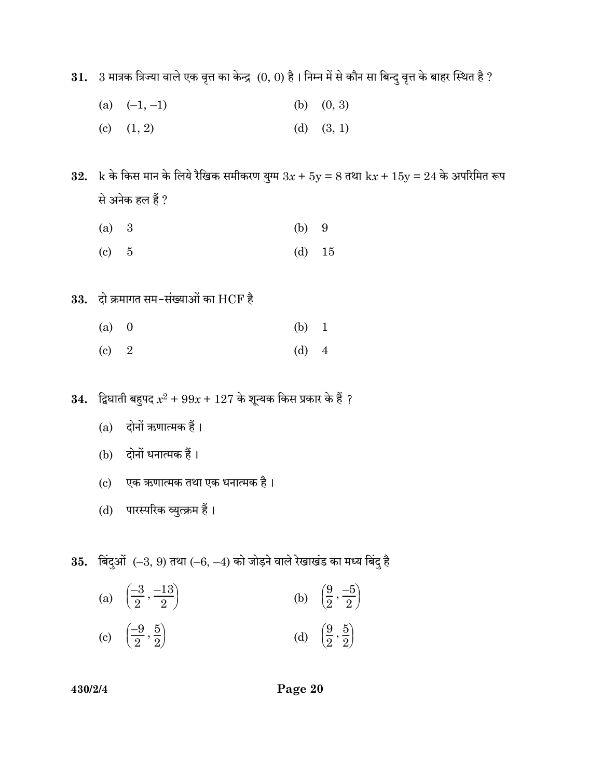$31.$   $3$  मात्रक त्रिज्या वाले एक वृत्त का केन्द्र  $(0, 0)$  है। निम्न में से कौन सा बिन्दु वृत्त के बाहर स्थित है ?

- (a)  $(-1, -1)$  (b)  $(0, 3)$
- (c)  $(1, 2)$  (d)  $(3, 1)$

32.  $k \hat{\phi}$  किस मान के लिये रैखिक समीकरण युग्म  $3x + 5y = 8$  तथा  $kx + 15y = 24$  के अपरिमित रूप से अनेक हल हैं ?

- (a) 3 (b) 9
- (c)  $5$  (d)  $15$
- $33.$  दो क्रमागत सम-संख्याओं का  $HCF$  है
	- (a) 0 (b) 1
	- (c) 2 (d) 4
- $\bf{34.} \quad$ द्विघाती बहुपद  $x^2 + 99x + 127$  के शून्यक किस प्रकार के हैं ?
	- (a) दोनों ऋणात्मक हैं।
	- (b) दोनों धनात्मक हैं।
	- (c) एक ऋणात्मक तथा एक धनात्मक है।
	- (d) पारस्परिक व्युत्क्रम हैं।

 $35.$  बिंदुओं  $(-3, 9)$  तथा  $(-6, -4)$  को जोड़ने वाले रेखाखंड का मध्य बिंदु है

(a)  $\left(\begin{matrix} \cdot & \cdot \\ \cdot & \cdot \\ \cdot & \cdot \end{matrix}\right)$  $\left[\frac{-3}{2}, \frac{-13}{2}\right)$ 2  $, -13$ 2 (b)  $\begin{pmatrix} 1 \\ 1 \end{pmatrix}$  $\left(\frac{9}{2},\frac{-5}{2}\right)$ 2  $,\equiv$ 2  $\begin{pmatrix} 0 \end{pmatrix}$  $\left[\frac{-9}{2}, \frac{5}{2}\right)$ 2  $,\frac{5}{2}$ 2 (d)  $\begin{pmatrix} 1 \\ 1 \end{pmatrix}$  $\left(\frac{9}{2},\frac{5}{2}\right)$ 2  $,\frac{5}{2}$  $\frac{9}{2}$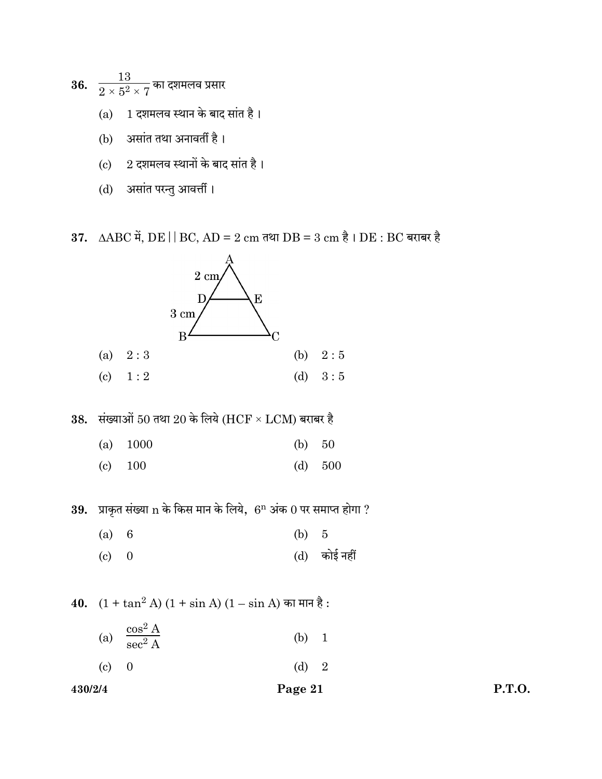36.  $\frac{13}{2\times 5^2\times 7}$ का दशमलव प्रसार

- $(a)$  1 दशमलव स्थान के बाद सांत है।
- (b) असांत तथा अनावर्ती है।
- $(c)$  2 दशमलव स्थानों के बाद सांत है।
- (d) असांत परन्तु आवर्त्ती ।

37.  $\triangle ABC$  में,  $DE \parallel BC$ ,  $AD = 2 \text{ cm}$  तथा  $DB = 3 \text{ cm}$  है।  $DE : BC$  बराबर है



38. संख्याओं 50 तथा 20 के लिये (HCF  $\times$  LCM) बराबर है

- (a) 1000 (b) 50
- (c) 100 (d) 500

 $39.$  प्राकृत संख्या  $n$  के किस मान के लिये,  $6^n$  अंक  $0$  पर समाप्त होगा ?

- (a) 6 (b) 5
- (c)  $0$  (d) कोई नहीं

40.  $(1 + \tan^2 A) (1 + \sin A) (1 - \sin A)$  का मान है :

- (a)  $\frac{\cos^2 A}{\cos^2 A}$  $\mathrm{sec}^2$  $(b) 1$
- (c) 0 (d) 2

430/2/4 Page 21 P.T.O.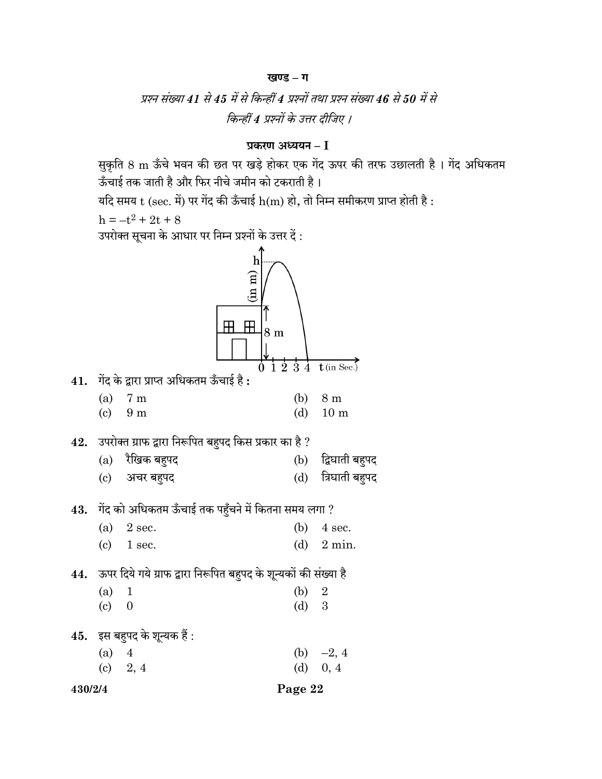# खण्ड – ग

# प्रश्न संख्या 41 से 45 में से किन्हीं 4 प्रश्नों तथा प्रश्न संख्या 46 से 50 में से किन्हीं 4 प्रश्नों के उत्तर दीजिए ।

# प्रकरण अध्ययन $-I$

सुकृति 8 m ऊँचे भवन की छत पर खड़े होकर एक गेंद ऊपर की तरफ उछालती है । गेंद अधिकतम ऊँचाई तक जाती है और फिर नीचे जमीन को टकराती है।

यदि समय  $t$  (sec. में) पर गेंद की ऊँचाई  $h(m)$  हो, तो निम्न समीकरण प्राप्त होती है :

 $h = -t^2 + 2t + 8$ 

 $\overline{\mathbf{r}}$ : उपरोक्त सचना के आधार पर निम्न पश्नों के उत्तर दें

| (a)<br>$(c)$ 9 m<br>$\left( \mathrm{c}\right)$<br>(a)<br>$\left( \mathrm{c}\right)$<br>(a)<br>$\left( \mathrm{c}\right)$<br>$(a)$ 4<br>$(c)$ 2, 4 | गेंद के द्वारा प्राप्त अधिकतम ऊँचाई है :<br>7 <sub>m</sub><br>उपरोक्त ग्राफ द्वारा निरूपित बहुपद किस प्रकार का है ?<br>$(a)$ रैखिक बहुपद<br>अचर बहुपद<br>$43.$ ागेंद को अधिकतम ऊँचाई तक पहुँचने में कितना समय लगा ?<br>2 sec.<br>1 sec.<br>ऊपर दिये गये ग्राफ द्वारा निरूपित बहुपद के शून्यकों की संख्या है<br>$\mathbf{1}$<br>$\overline{0}$<br>इस बहुपद के शून्यक हैं : | $\overline{1}\,\overline{2}$<br>-3<br>$\dot{4}$<br>(b)<br>(d)<br>(d)<br>(b)<br>(d)<br>(b)<br>$(d)$ 3<br>(d) | $t$ (in Sec.)<br>8 m<br>10 <sub>m</sub><br>(b) द्विघाती बहुपद<br>त्रिघाती बहुपद<br>4 sec.<br>$2 \text{ min.}$<br>$\overline{2}$<br>(b) $-2, 4$<br>0, 4 |
|---------------------------------------------------------------------------------------------------------------------------------------------------|---------------------------------------------------------------------------------------------------------------------------------------------------------------------------------------------------------------------------------------------------------------------------------------------------------------------------------------------------------------------------|-------------------------------------------------------------------------------------------------------------|--------------------------------------------------------------------------------------------------------------------------------------------------------|
|                                                                                                                                                   |                                                                                                                                                                                                                                                                                                                                                                           |                                                                                                             |                                                                                                                                                        |
|                                                                                                                                                   |                                                                                                                                                                                                                                                                                                                                                                           |                                                                                                             |                                                                                                                                                        |
|                                                                                                                                                   |                                                                                                                                                                                                                                                                                                                                                                           |                                                                                                             |                                                                                                                                                        |
|                                                                                                                                                   |                                                                                                                                                                                                                                                                                                                                                                           |                                                                                                             |                                                                                                                                                        |
|                                                                                                                                                   |                                                                                                                                                                                                                                                                                                                                                                           |                                                                                                             |                                                                                                                                                        |
|                                                                                                                                                   |                                                                                                                                                                                                                                                                                                                                                                           |                                                                                                             |                                                                                                                                                        |
|                                                                                                                                                   |                                                                                                                                                                                                                                                                                                                                                                           |                                                                                                             |                                                                                                                                                        |
|                                                                                                                                                   |                                                                                                                                                                                                                                                                                                                                                                           |                                                                                                             |                                                                                                                                                        |
|                                                                                                                                                   |                                                                                                                                                                                                                                                                                                                                                                           |                                                                                                             |                                                                                                                                                        |
|                                                                                                                                                   |                                                                                                                                                                                                                                                                                                                                                                           |                                                                                                             |                                                                                                                                                        |
|                                                                                                                                                   |                                                                                                                                                                                                                                                                                                                                                                           |                                                                                                             |                                                                                                                                                        |
|                                                                                                                                                   |                                                                                                                                                                                                                                                                                                                                                                           |                                                                                                             |                                                                                                                                                        |
|                                                                                                                                                   |                                                                                                                                                                                                                                                                                                                                                                           |                                                                                                             |                                                                                                                                                        |
|                                                                                                                                                   |                                                                                                                                                                                                                                                                                                                                                                           |                                                                                                             |                                                                                                                                                        |
|                                                                                                                                                   |                                                                                                                                                                                                                                                                                                                                                                           |                                                                                                             |                                                                                                                                                        |
|                                                                                                                                                   |                                                                                                                                                                                                                                                                                                                                                                           |                                                                                                             |                                                                                                                                                        |
|                                                                                                                                                   | $\mathbf h$<br>(n m)                                                                                                                                                                                                                                                                                                                                                      |                                                                                                             |                                                                                                                                                        |
|                                                                                                                                                   |                                                                                                                                                                                                                                                                                                                                                                           |                                                                                                             | 8 <sub>m</sub>                                                                                                                                         |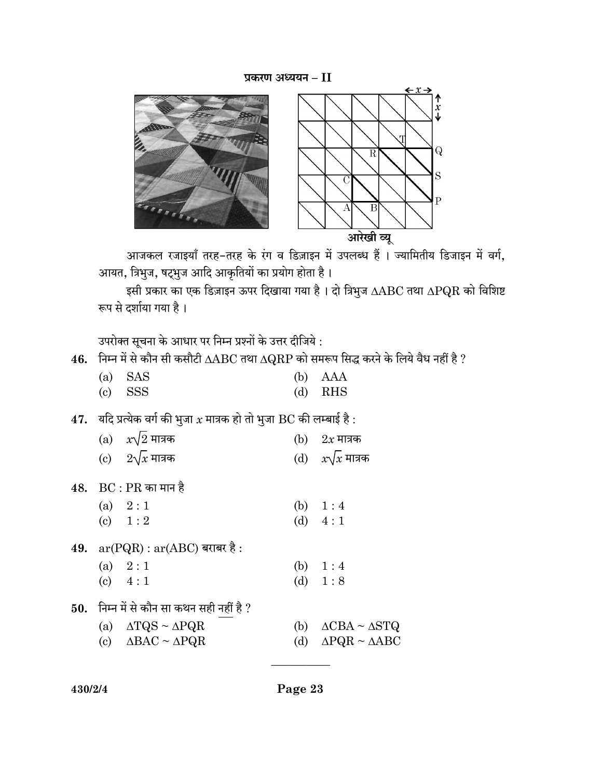# प्रकरण अध्ययन $-II$



आजकल रजाइयाँ तरह-तरह के रंग व डिज़ाइन में उपलब्ध हैं । ज्यामितीय डिजाइन में वर्ग, आयत, त्रिभुज, षट्भुज आदि आकृतियों का प्रयोग होता है।

इसी प्रकार का एक डिज़ाइन ऊपर दिखाया गया है। दो त्रिभुज  $\Delta\text{ABC}$  तथा  $\Delta\text{PQR}$  को विशिष्ट रूप से दर्शाया गया है।

उपरोक्त सूचना के आधार पर निम्न प्रश्नों के उत्तर दीजिये :

46. निम्न में से कौन सी कसौटी  $\triangle ABC$  तथा  $\triangle QRP$  को समरूप सिद्ध करने के लिये वैध नहीं है ?

| $(a)$ SAS                     | (b) AAA   |
|-------------------------------|-----------|
| $\left( \text{c} \right)$ SSS | $(d)$ RHS |

47. यदि प्रत्येक वर्ग की भुजा  $x$  मात्रक हो तो भुजा  $\operatorname{BC}$  की लम्बाई है :

| (a) $x\sqrt{2}$ मात्रक                                               | (b) | $2x$ मात्रक                  |
|----------------------------------------------------------------------|-----|------------------------------|
| (c) $2\sqrt{x}$ मात्रक                                               |     | (d) $x\sqrt{x}$ मात्रक       |
| $48. \;\;\mathrm{BC}$ : $\mathrm{PR}$ का मान है                      |     |                              |
| (a) $2:1$                                                            |     | (b) $1:4$                    |
| (c) $1:2$                                                            |     | (d) $4:1$                    |
| $49. \quad \text{ar}(\text{PQR}) : \text{ar}(\text{ABC})$ बराबर है : |     |                              |
| (a) $2:1$                                                            |     | (b) $1:4$                    |
| (c) $4:1$                                                            |     | (d) $1:8$                    |
| ${\bf 50.} \quad$ निम्न में से कौन सा कथन सही नहीं है ?              |     |                              |
| (a) $\triangle TQS \sim \triangle PQR$                               | (b) | $\Delta CBA \sim \Delta STQ$ |
| (c) $\triangle BAC \sim \triangle PQR$                               | (d) | $\Delta PQR \sim \Delta ABC$ |
|                                                                      |     |                              |